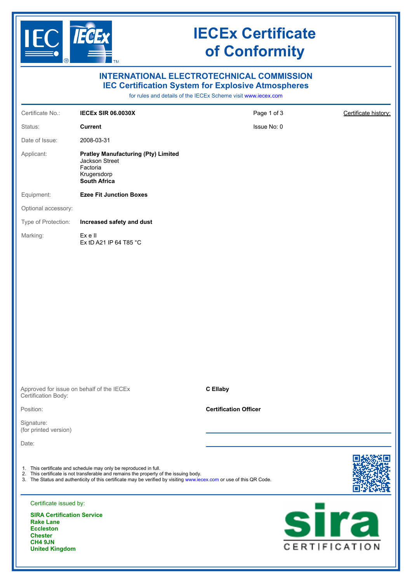

**United Kingdom**

# **IECEx Certificate of Conformity**

| <b>INTERNATIONAL ELECTROTECHNICAL COMMISSION</b><br><b>IEC Certification System for Explosive Atmospheres</b><br>for rules and details of the IECEx Scheme visit www.iecex.com |                                                                                                                                                                                                                                                                                   |                              |                              |  |
|--------------------------------------------------------------------------------------------------------------------------------------------------------------------------------|-----------------------------------------------------------------------------------------------------------------------------------------------------------------------------------------------------------------------------------------------------------------------------------|------------------------------|------------------------------|--|
| Certificate No.:                                                                                                                                                               | <b>IECEX SIR 06.0030X</b>                                                                                                                                                                                                                                                         | Page 1 of 3                  | Certificate history:         |  |
| Status:                                                                                                                                                                        | <b>Current</b>                                                                                                                                                                                                                                                                    | Issue No: 0                  |                              |  |
| Date of Issue:                                                                                                                                                                 | 2008-03-31                                                                                                                                                                                                                                                                        |                              |                              |  |
| Applicant:                                                                                                                                                                     | <b>Pratley Manufacturing (Pty) Limited</b><br>Jackson Street<br>Factoria<br>Krugersdorp<br><b>South Africa</b>                                                                                                                                                                    |                              |                              |  |
| Equipment:                                                                                                                                                                     | <b>Ezee Fit Junction Boxes</b>                                                                                                                                                                                                                                                    |                              |                              |  |
| Optional accessory:                                                                                                                                                            |                                                                                                                                                                                                                                                                                   |                              |                              |  |
| Type of Protection:                                                                                                                                                            | Increased safety and dust                                                                                                                                                                                                                                                         |                              |                              |  |
| Marking:                                                                                                                                                                       | Ex e II<br>Ex tD A21 IP 64 T85 °C                                                                                                                                                                                                                                                 |                              |                              |  |
|                                                                                                                                                                                |                                                                                                                                                                                                                                                                                   |                              |                              |  |
| Certification Body:                                                                                                                                                            | Approved for issue on behalf of the IECEx                                                                                                                                                                                                                                         | <b>C</b> Ellaby              |                              |  |
| Position:                                                                                                                                                                      |                                                                                                                                                                                                                                                                                   | <b>Certification Officer</b> |                              |  |
| Signature:<br>(for printed version)                                                                                                                                            |                                                                                                                                                                                                                                                                                   |                              |                              |  |
| Date:                                                                                                                                                                          |                                                                                                                                                                                                                                                                                   |                              |                              |  |
|                                                                                                                                                                                | 1. This certificate and schedule may only be reproduced in full.<br>2. This certificate is not transferable and remains the property of the issuing body.<br>3. The Status and authenticity of this certificate may be verified by visiting www.iecex.com or use of this QR Code. |                              |                              |  |
| Certificate issued by:                                                                                                                                                         |                                                                                                                                                                                                                                                                                   |                              |                              |  |
| <b>SIRA Certification Service</b><br><b>Rake Lane</b><br><b>Eccleston</b><br><b>Chester</b><br>CH4 9JN<br><b>United Kingdom</b>                                                |                                                                                                                                                                                                                                                                                   |                              | <b>sira</b><br>CERTIFICATION |  |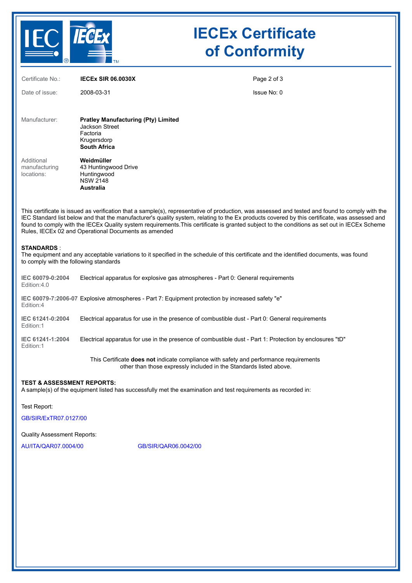

# **IECEx Certificate of Conformity**

| Certificate No.:                                                                                                                                                                                                                                                                                                                                                                                                                                                                                         | <b>IECEX SIR 06.0030X</b>                                                                                                               | Page 2 of 3 |  |
|----------------------------------------------------------------------------------------------------------------------------------------------------------------------------------------------------------------------------------------------------------------------------------------------------------------------------------------------------------------------------------------------------------------------------------------------------------------------------------------------------------|-----------------------------------------------------------------------------------------------------------------------------------------|-------------|--|
| Date of issue:                                                                                                                                                                                                                                                                                                                                                                                                                                                                                           | 2008-03-31                                                                                                                              | Issue No: 0 |  |
|                                                                                                                                                                                                                                                                                                                                                                                                                                                                                                          |                                                                                                                                         |             |  |
| Manufacturer:                                                                                                                                                                                                                                                                                                                                                                                                                                                                                            | <b>Pratley Manufacturing (Pty) Limited</b><br>Jackson Street                                                                            |             |  |
|                                                                                                                                                                                                                                                                                                                                                                                                                                                                                                          | Factoria<br>Krugersdorp<br><b>South Africa</b>                                                                                          |             |  |
| Additional                                                                                                                                                                                                                                                                                                                                                                                                                                                                                               | Weidmüller                                                                                                                              |             |  |
| manufacturing<br>locations:                                                                                                                                                                                                                                                                                                                                                                                                                                                                              | 43 Huntingwood Drive<br>Huntingwood                                                                                                     |             |  |
|                                                                                                                                                                                                                                                                                                                                                                                                                                                                                                          | <b>NSW 2148</b><br>Australia                                                                                                            |             |  |
|                                                                                                                                                                                                                                                                                                                                                                                                                                                                                                          |                                                                                                                                         |             |  |
| This certificate is issued as verification that a sample(s), representative of production, was assessed and tested and found to comply with the<br>IEC Standard list below and that the manufacturer's quality system, relating to the Ex products covered by this certificate, was assessed and<br>found to comply with the IECEx Quality system requirements. This certificate is granted subject to the conditions as set out in IECEx Scheme<br>Rules, IECEx 02 and Operational Documents as amended |                                                                                                                                         |             |  |
| <b>STANDARDS:</b><br>to comply with the following standards                                                                                                                                                                                                                                                                                                                                                                                                                                              | The equipment and any acceptable variations to it specified in the schedule of this certificate and the identified documents, was found |             |  |

| IEC 60079-0:2004<br>Edition:4.0 | Electrical apparatus for explosive gas atmospheres - Part 0: General requirements                        |
|---------------------------------|----------------------------------------------------------------------------------------------------------|
| Edition:4                       | IEC 60079-7:2006-07 Explosive atmospheres - Part 7: Equipment protection by increased safety "e"         |
| IEC 61241-0:2004<br>Edition:1   | Electrical apparatus for use in the presence of combustible dust - Part 0: General requirements          |
| IEC 61241-1:2004<br>Edition:1   | Electrical apparatus for use in the presence of combustible dust - Part 1: Protection by enclosures "tD" |
|                                 | This Certificate <b>does not</b> indicate compliance with safety and performance requirements            |

other than those expressly included in the Standards listed above.

### **TEST & ASSESSMENT REPORTS:**

A sample(s) of the equipment listed has successfully met the examination and test requirements as recorded in:

Test Report:

[GB/SIR/ExTR07.0127/00](https://www.iecex-certs.com/deliverables/REPORT/24081/view)

Quality Assessment Reports:

[AU/ITA/QAR07.0004/00](https://www.iecex-certs.com/deliverables/REPORT/39513/view) [GB/SIR/QAR06.0042/00](https://www.iecex-certs.com/deliverables/REPORT/49856/view)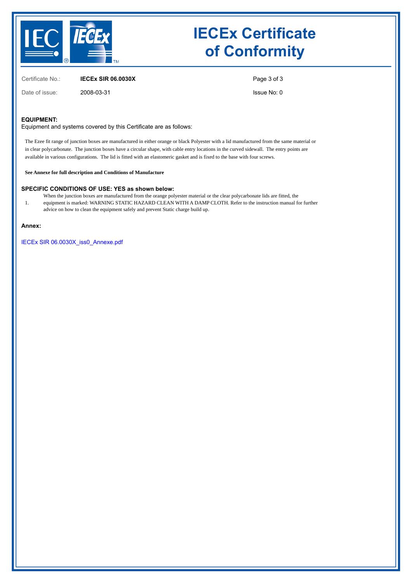

# **IECEx Certificate of Conformity**

Certificate No.: **IECEx SIR 06.0030X**

Date of issue: 2008-03-31

Page 3 of 3

Issue No: 0

#### **EQUIPMENT:**

Equipment and systems covered by this Certificate are as follows:

The Ezee fit range of junction boxes are manufactured in either orange or black Polyester with a lid manufactured from the same material or in clear polycarbonate. The junction boxes have a circular shape, with cable entry locations in the curved sidewall. The entry points are available in various configurations. The lid is fitted with an elastomeric gasket and is fixed to the base with four screws.

**See Annexe for full description and Conditions of Manufacture**

**SPECIFIC CONDITIONS OF USE: YES as shown below:**

- 1. When the junction boxes are manufactured from the orange polyester material or the clear polycarbonate lids are fitted, the equipment is marked: WARNING STATIC HAZARD CLEAN WITH A DAMP CLOTH. Refer to the instruction manual for further
- advice on how to clean the equipment safely and prevent Static charge build up.

### **Annex:**

[IECEx SIR 06.0030X\\_iss0\\_Annexe.pdf](https://www.iecex-certs.com/deliverables/CERT/31871/view)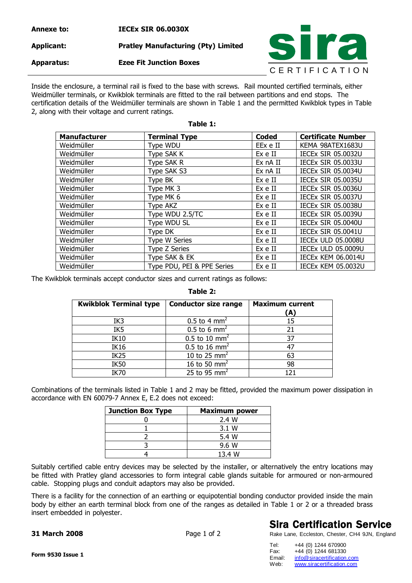## **Annexe to: IECEx SIR 06.0030X Applicant: Pratley Manufacturing (Pty) Limited Apparatus: Ezee Fit Junction Boxes**



Inside the enclosure, a terminal rail is fixed to the base with screws. Rail mounted certified terminals, either Weidmüller terminals, or Kwikblok terminals are fitted to the rail between partitions and end stops. The certification details of the Weidmüller terminals are shown in Table 1 and the permitted Kwikblok types in Table 2, along with their voltage and current ratings.

**Table 1:** 

| <b>Manufacturer</b> | <b>Terminal Type</b>       | <b>Coded</b> | <b>Certificate Number</b> |
|---------------------|----------------------------|--------------|---------------------------|
| Weidmüller          | Type WDU                   | EEx e II     | KEMA 98ATEX1683U          |
| Weidmüller          | Type SAK K                 | Ex e II      | <b>IECEX SIR 05.0032U</b> |
| Weidmüller          | Type SAK R                 | Ex nA II     | <b>IECEX SIR 05.0033U</b> |
| Weidmüller          | Type SAK S3                | Ex nA II     | <b>IECEX SIR 05.0034U</b> |
| Weidmüller          | Type BK                    | Ex e II      | <b>IECEX SIR 05.0035U</b> |
| Weidmüller          | Type MK 3                  | Ex e II      | <b>IECEX SIR 05.0036U</b> |
| Weidmüller          | Type MK 6                  | Ex e II      | <b>IECEX SIR 05.0037U</b> |
| Weidmüller          | Type AKZ                   | Ex e II      | <b>IECEX SIR 05,0038U</b> |
| Weidmüller          | Type WDU 2.5/TC            | Ex e II      | <b>IECEX SIR 05.0039U</b> |
| Weidmüller          | Type WDU SL                | Ex e II      | <b>IECEX SIR 05.0040U</b> |
| Weidmüller          | Type DK                    | Ex e II      | <b>IECEX SIR 05.0041U</b> |
| Weidmüller          | Type W Series              | Ex e II      | <b>IECEX ULD 05.0008U</b> |
| Weidmüller          | <b>Type Z Series</b>       | Ex e II      | <b>IECEX ULD 05.0009U</b> |
| Weidmüller          | Type SAK & EK              | Ex e II      | IECEX KEM 06.0014U        |
| Weidmüller          | Type PDU, PEI & PPE Series | Ex e II      | <b>IECEX KEM 05.0032U</b> |

The Kwikblok terminals accept conductor sizes and current ratings as follows:

### **Table 2:**

| <b>Kwikblok Terminal type</b> | <b>Conductor size range</b> | <b>Maximum current</b><br>(A) |
|-------------------------------|-----------------------------|-------------------------------|
| IK3                           | 0.5 to 4 $mm2$              | 15                            |
| IK <sub>5</sub>               | 0.5 to 6 mm <sup>2</sup>    |                               |
| <b>IK10</b>                   | 0.5 to 10 mm <sup>2</sup>   | 37                            |
| <b>IK16</b>                   | 0.5 to 16 mm <sup>2</sup>   |                               |
| IK <sub>25</sub>              | 10 to 25 $mm2$              | 63                            |
| <b>IK50</b>                   | 16 to 50 mm <sup>2</sup>    | 98                            |
| <b>IK70</b>                   | 25 to 95 mm <sup>2</sup>    |                               |

Combinations of the terminals listed in Table 1 and 2 may be fitted, provided the maximum power dissipation in accordance with EN 60079-7 Annex E, E.2 does not exceed:

| <b>Junction Box Type</b> | <b>Maximum power</b> |
|--------------------------|----------------------|
|                          | 2.4 W                |
|                          | 3.1 W                |
|                          | 5.4 W                |
|                          | 9.6 W                |
|                          | 13.4 W               |

Suitably certified cable entry devices may be selected by the installer, or alternatively the entry locations may be fitted with Pratley gland accessories to form integral cable glands suitable for armoured or non-armoured cable. Stopping plugs and conduit adaptors may also be provided.

There is a facility for the connection of an earthing or equipotential bonding conductor provided inside the main body by either an earth terminal block from one of the ranges as detailed in Table 1 or 2 or a threaded brass insert embedded in polyester.

### **31 March 2008** Page 1 of 2

## **Sira Certification Service**

Rake Lane, Eccleston, Chester, CH4 9JN, England

| Tel:   | +44 (0) 1244 670900        |  |
|--------|----------------------------|--|
| Fax:   | +44 (0) 1244 681330        |  |
| Email: | info@siracertification.com |  |
| Web:   | www.siracertification.com  |  |

**Form 9530 Issue 1**